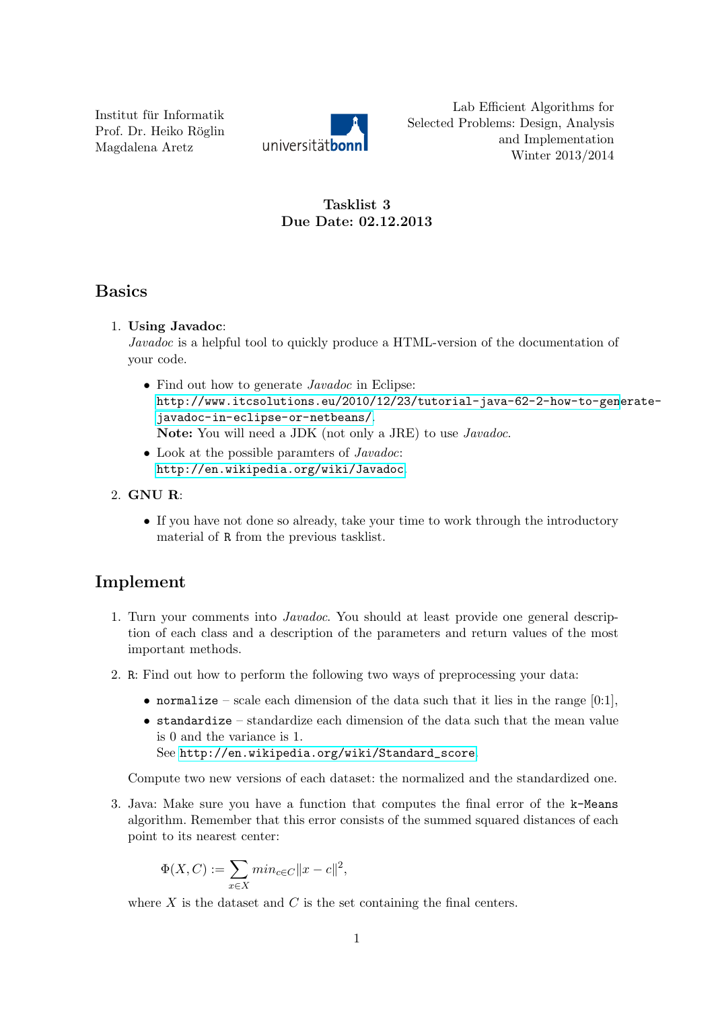Institut für Informatik Prof. Dr. Heiko Röglin Magdalena Aretz



Lab Efficient Algorithms for Selected Problems: Design, Analysis and Implementation Winter 2013/2014

## Tasklist 3 Due Date: 02.12.2013

# Basics

#### 1. Using Javadoc:

Javadoc is a helpful tool to quickly produce a HTML-version of the documentation of your code.

- Find out how to generate *Javadoc* in Eclipse: [http://www.itcsolutions.eu/2010/12/23/tutorial-java-62-2-how-to-gen](http://www.itcsolutions.eu/2010/12/23/tutorial-java-62-2-how-to-generate-javadoc-in-eclipse-or-netbeans/)erate[javadoc-in-eclipse-or-netbeans/](http://www.itcsolutions.eu/2010/12/23/tutorial-java-62-2-how-to-generate-javadoc-in-eclipse-or-netbeans/). Note: You will need a JDK (not only a JRE) to use Javadoc.
- Look at the possible paramters of *Javadoc*: <http://en.wikipedia.org/wiki/Javadoc>.

## 2. GNU R:

• If you have not done so already, take your time to work through the introductory material of R from the previous tasklist.

# Implement

- 1. Turn your comments into Javadoc. You should at least provide one general description of each class and a description of the parameters and return values of the most important methods.
- 2. R: Find out how to perform the following two ways of preprocessing your data:
	- normalize scale each dimension of the data such that it lies in the range  $[0:1]$ ,
	- $\bullet$  standardize standardize each dimension of the data such that the mean value is 0 and the variance is 1. See [http://en.wikipedia.org/wiki/Standard\\_score](http://en.wikipedia.org/wiki/Standard_score).

Compute two new versions of each dataset: the normalized and the standardized one.

3. Java: Make sure you have a function that computes the final error of the k-Means algorithm. Remember that this error consists of the summed squared distances of each point to its nearest center:

$$
\Phi(X, C) := \sum_{x \in X} \min_{c \in C} ||x - c||^2,
$$

where  $X$  is the dataset and  $C$  is the set containing the final centers.